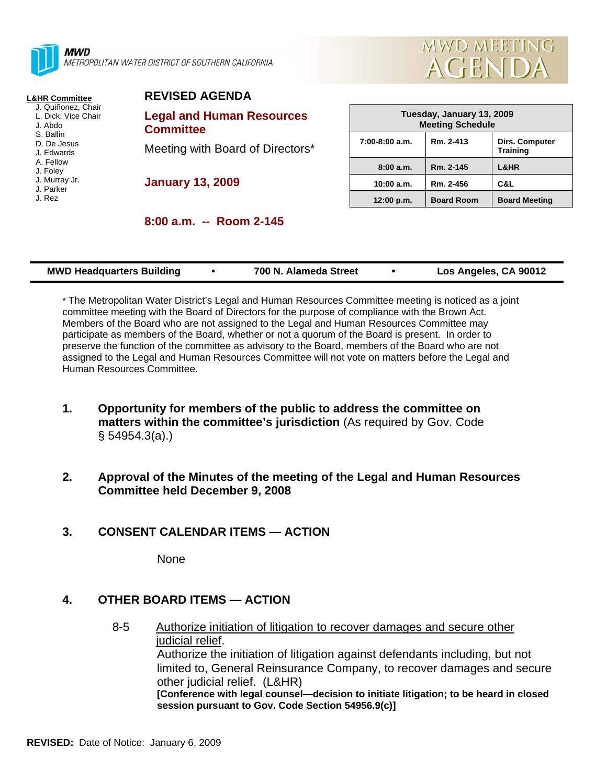

METROPOLITAN WATER DISTRICT OF SOUTHERN CALIFORNIA



### **L&HR Committee**

- J. Quiñonez, Chair L. Dick, Vice Chair
- J. Abdo
- S. Ballin
- D. De Jesus
- J. Edwards A. Fellow
- J. Foley
- J. Murray Jr.
- J. Parker
- J. Rez

|  | <b>REVISED AGENDA</b> |  |  |
|--|-----------------------|--|--|
|  |                       |  |  |

**Legal and Human Resources Committee** 

Meeting with Board of Directors\*

**January 13, 2009** 

| Tuesday, January 13, 2009<br><b>Meeting Schedule</b> |                   |                                          |  |  |  |  |
|------------------------------------------------------|-------------------|------------------------------------------|--|--|--|--|
| $7:00-8:00$ a.m.                                     | Rm. 2-413         | <b>Dirs. Computer</b><br><b>Training</b> |  |  |  |  |
| 8:00a.m.                                             | Rm. 2-145         | L&HR                                     |  |  |  |  |
| 10:00 a.m.                                           | Rm. 2-456         | C&L                                      |  |  |  |  |
| 12:00 p.m.                                           | <b>Board Room</b> | <b>Board Meeting</b>                     |  |  |  |  |

| <b>MWD Headquarters Building</b> |  | 700 N. Alameda Street |  | Los Angeles, CA 90012 |
|----------------------------------|--|-----------------------|--|-----------------------|
|----------------------------------|--|-----------------------|--|-----------------------|

\* The Metropolitan Water District's Legal and Human Resources Committee meeting is noticed as a joint committee meeting with the Board of Directors for the purpose of compliance with the Brown Act. Members of the Board who are not assigned to the Legal and Human Resources Committee may participate as members of the Board, whether or not a quorum of the Board is present. In order to preserve the function of the committee as advisory to the Board, members of the Board who are not assigned to the Legal and Human Resources Committee will not vote on matters before the Legal and Human Resources Committee.

- **1. Opportunity for members of the public to address the committee on matters within the committee's jurisdiction** (As required by Gov. Code § 54954.3(a).)
- **2. Approval of the Minutes of the meeting of the Legal and Human Resources Committee held December 9, 2008**

### **3. CONSENT CALENDAR ITEMS — ACTION**

None

# **4. OTHER BOARD ITEMS — ACTION**

8-5 Authorize initiation of litigation to recover damages and secure other judicial relief. Authorize the initiation of litigation against defendants including, but not limited to, General Reinsurance Company, to recover damages and secure other judicial relief. (L&HR) **[Conference with legal counsel—decision to initiate litigation; to be heard in closed session pursuant to Gov. Code Section 54956.9(c)]**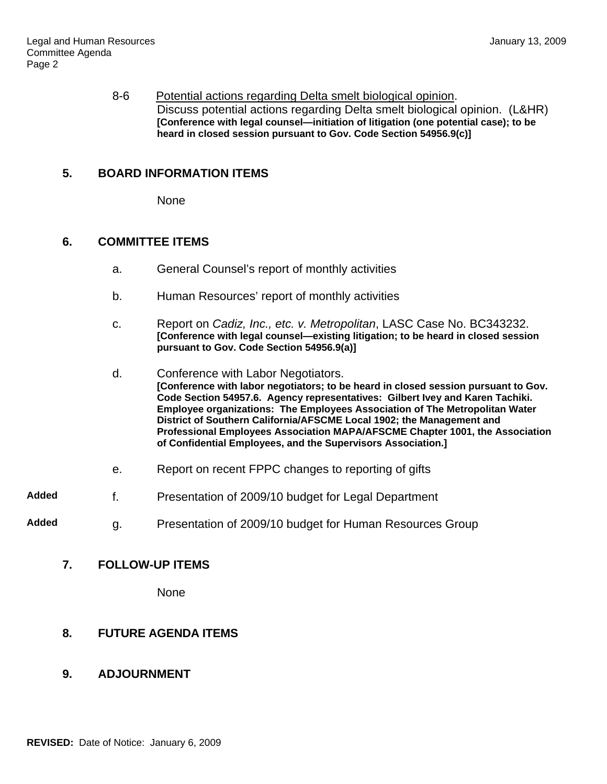8-6 Potential actions regarding Delta smelt biological opinion. Discuss potential actions regarding Delta smelt biological opinion. (L&HR) **[Conference with legal counsel—initiation of litigation (one potential case); to be heard in closed session pursuant to Gov. Code Section 54956.9(c)]**

### **5. BOARD INFORMATION ITEMS**

None

### **6. COMMITTEE ITEMS**

- a. General Counsel's report of monthly activities
- b. Human Resources' report of monthly activities
- c. Report on *Cadiz, Inc., etc. v. Metropolitan*, LASC Case No. BC343232. **[Conference with legal counsel—existing litigation; to be heard in closed session pursuant to Gov. Code Section 54956.9(a)]**
- d. Conference with Labor Negotiators. **[Conference with labor negotiators; to be heard in closed session pursuant to Gov. Code Section 54957.6. Agency representatives: Gilbert Ivey and Karen Tachiki. Employee organizations: The Employees Association of The Metropolitan Water District of Southern California/AFSCME Local 1902; the Management and Professional Employees Association MAPA/AFSCME Chapter 1001, the Association of Confidential Employees, and the Supervisors Association.]**
- e. Report on recent FPPC changes to reporting of gifts
- **Added** f. Presentation of 2009/10 budget for Legal Department
- **Added** g. Presentation of 2009/10 budget for Human Resources Group

#### **7. FOLLOW-UP ITEMS**

None

# **8. FUTURE AGENDA ITEMS**

# **9. ADJOURNMENT**